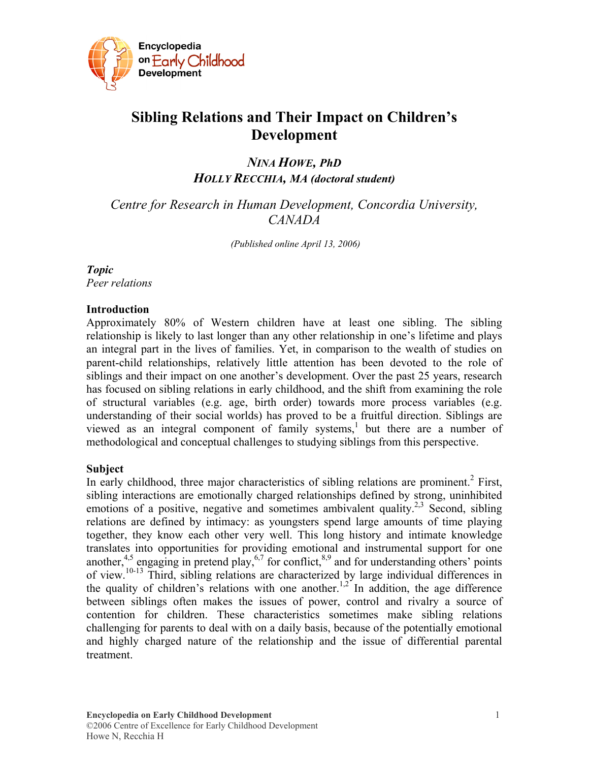

# **Sibling Relations and Their Impact on Children's Development**

*NINA HOWE, PhD HOLLY RECCHIA, MA (doctoral student)* 

*Centre for Research in Human Development, Concordia University, CANADA* 

 *(Published online April 13, 2006)* 

## *Topic*

*Peer relations* 

#### **Introduction**

Approximately 80% of Western children have at least one sibling. The sibling relationship is likely to last longer than any other relationship in one's lifetime and plays an integral part in the lives of families. Yet, in comparison to the wealth of studies on parent-child relationships, relatively little attention has been devoted to the role of siblings and their impact on one another's development. Over the past 25 years, research has focused on sibling relations in early childhood, and the shift from examining the role of structural variables (e.g. age, birth order) towards more process variables (e.g. understanding of their social worlds) has proved to be a fruitful direction. Siblings are viewed as an integral component of family systems,<sup>1</sup> but there are a number of methodological and conceptual challenges to studying siblings from this perspective.

## **Subject**

In early childhood, three major characteristics of sibling relations are prominent.<sup>2</sup> First, sibling interactions are emotionally charged relationships defined by strong, uninhibited emotions of a positive, negative and sometimes ambivalent quality.<sup>2,3</sup> Second, sibling relations are defined by intimacy: as youngsters spend large amounts of time playing together, they know each other very well. This long history and intimate knowledge translates into opportunities for providing emotional and instrumental support for one another,<sup>4,5</sup> engaging in pretend play,<sup>6,7</sup> for conflict,<sup>8,9</sup> and for understanding others' points of view.<sup>10-13</sup> Third, sibling relations are characterized by large individual differences in the quality of children's relations with one another.<sup>1,2</sup> In addition, the age difference between siblings often makes the issues of power, control and rivalry a source of contention for children. These characteristics sometimes make sibling relations challenging for parents to deal with on a daily basis, because of the potentially emotional and highly charged nature of the relationship and the issue of differential parental treatment.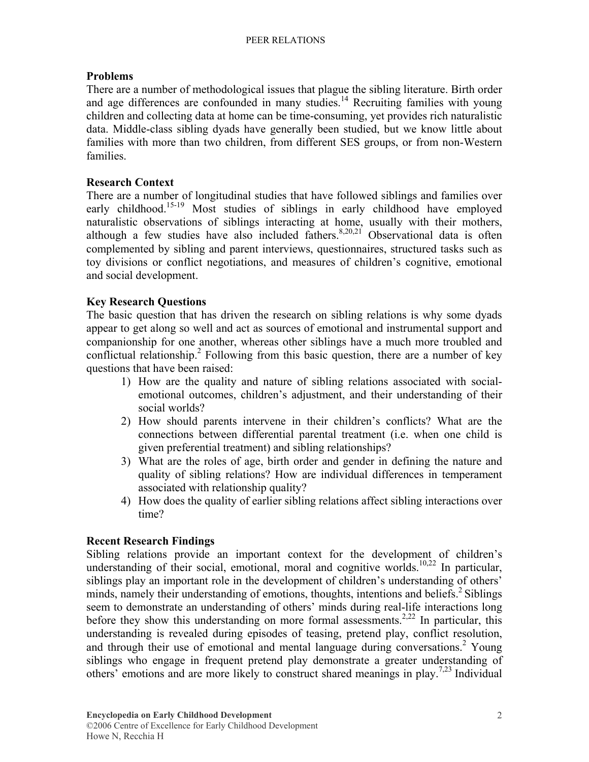## **Problems**

There are a number of methodological issues that plague the sibling literature. Birth order and age differences are confounded in many studies.<sup>14</sup> Recruiting families with young children and collecting data at home can be time-consuming, yet provides rich naturalistic data. Middle-class sibling dyads have generally been studied, but we know little about families with more than two children, from different SES groups, or from non-Western families.

### **Research Context**

There are a number of longitudinal studies that have followed siblings and families over early childhood.<sup>15-19</sup> Most studies of siblings in early childhood have employed naturalistic observations of siblings interacting at home, usually with their mothers, although a few studies have also included fathers.<sup>8,20,21</sup> Observational data is often complemented by sibling and parent interviews, questionnaires, structured tasks such as toy divisions or conflict negotiations, and measures of children's cognitive, emotional and social development.

## **Key Research Questions**

The basic question that has driven the research on sibling relations is why some dyads appear to get along so well and act as sources of emotional and instrumental support and companionship for one another, whereas other siblings have a much more troubled and conflictual relationship.<sup>2</sup> Following from this basic question, there are a number of key questions that have been raised:

- 1) How are the quality and nature of sibling relations associated with socialemotional outcomes, children's adjustment, and their understanding of their social worlds?
- 2) How should parents intervene in their children's conflicts? What are the connections between differential parental treatment (i.e. when one child is given preferential treatment) and sibling relationships?
- 3) What are the roles of age, birth order and gender in defining the nature and quality of sibling relations? How are individual differences in temperament associated with relationship quality?
- 4) How does the quality of earlier sibling relations affect sibling interactions over time?

#### **Recent Research Findings**

Sibling relations provide an important context for the development of children's understanding of their social, emotional, moral and cognitive worlds.<sup>10,22</sup> In particular, siblings play an important role in the development of children's understanding of others' minds, namely their understanding of emotions, thoughts, intentions and beliefs.<sup>2</sup> Siblings seem to demonstrate an understanding of others' minds during real-life interactions long before they show this understanding on more formal assessments.<sup>2,22</sup> In particular, this understanding is revealed during episodes of teasing, pretend play, conflict resolution, and through their use of emotional and mental language during conversations.<sup>2</sup> Young siblings who engage in frequent pretend play demonstrate a greater understanding of others' emotions and are more likely to construct shared meanings in play.7,23 Individual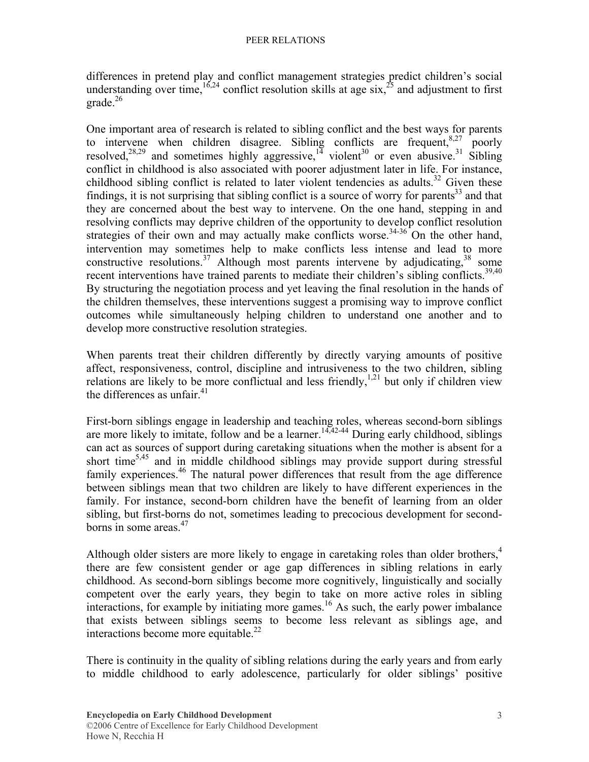differences in pretend play and conflict management strategies predict children's social understanding over time,  $16,24$  conflict resolution skills at age six,  $25$  and adjustment to first grade.<sup>26</sup>

One important area of research is related to sibling conflict and the best ways for parents to intervene when children disagree. Sibling conflicts are frequent,  $8.27$  poorly resolved,<sup>28,29</sup> and sometimes highly aggressive,<sup>14</sup> violent<sup>30</sup> or even abusive.<sup>31</sup> Sibling conflict in childhood is also associated with poorer adjustment later in life. For instance, childhood sibling conflict is related to later violent tendencies as adults.<sup>32</sup> Given these findings, it is not surprising that sibling conflict is a source of worry for parents<sup>33</sup> and that they are concerned about the best way to intervene. On the one hand, stepping in and resolving conflicts may deprive children of the opportunity to develop conflict resolution strategies of their own and may actually make conflicts worse.<sup>34-36</sup> On the other hand, intervention may sometimes help to make conflicts less intense and lead to more constructive resolutions.<sup>37</sup> Although most parents intervene by adjudicating,  $38$  some recent interventions have trained parents to mediate their children's sibling conflicts.<sup>39,40</sup> By structuring the negotiation process and yet leaving the final resolution in the hands of the children themselves, these interventions suggest a promising way to improve conflict outcomes while simultaneously helping children to understand one another and to develop more constructive resolution strategies.

When parents treat their children differently by directly varying amounts of positive affect, responsiveness, control, discipline and intrusiveness to the two children, sibling relations are likely to be more conflictual and less friendly,<sup>1,21</sup> but only if children view the differences as unfair  $41$ 

First-born siblings engage in leadership and teaching roles, whereas second-born siblings are more likely to imitate, follow and be a learner.<sup>14,42-44</sup> During early childhood, siblings can act as sources of support during caretaking situations when the mother is absent for a short time<sup>5,45</sup> and in middle childhood siblings may provide support during stressful family experiences.<sup>46</sup> The natural power differences that result from the age difference between siblings mean that two children are likely to have different experiences in the family. For instance, second-born children have the benefit of learning from an older sibling, but first-borns do not, sometimes leading to precocious development for secondborns in some areas. $47$ 

Although older sisters are more likely to engage in caretaking roles than older brothers, $4\overline{4}$ there are few consistent gender or age gap differences in sibling relations in early childhood. As second-born siblings become more cognitively, linguistically and socially competent over the early years, they begin to take on more active roles in sibling interactions, for example by initiating more games.<sup>16</sup> As such, the early power imbalance that exists between siblings seems to become less relevant as siblings age, and interactions become more equitable. $^{22}$ 

There is continuity in the quality of sibling relations during the early years and from early to middle childhood to early adolescence, particularly for older siblings' positive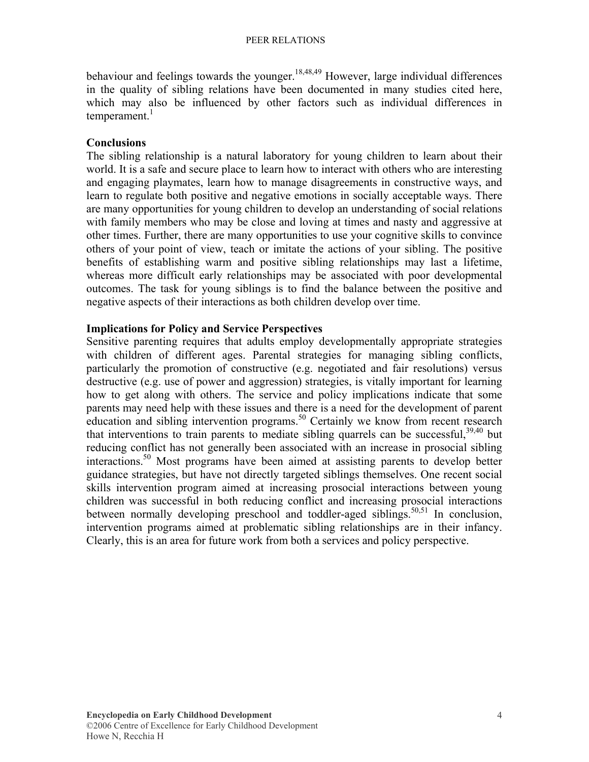behaviour and feelings towards the younger.<sup>18,48,49</sup> However, large individual differences in the quality of sibling relations have been documented in many studies cited here, which may also be influenced by other factors such as individual differences in temperament.<sup>1</sup>

### **Conclusions**

The sibling relationship is a natural laboratory for young children to learn about their world. It is a safe and secure place to learn how to interact with others who are interesting and engaging playmates, learn how to manage disagreements in constructive ways, and learn to regulate both positive and negative emotions in socially acceptable ways. There are many opportunities for young children to develop an understanding of social relations with family members who may be close and loving at times and nasty and aggressive at other times. Further, there are many opportunities to use your cognitive skills to convince others of your point of view, teach or imitate the actions of your sibling. The positive benefits of establishing warm and positive sibling relationships may last a lifetime, whereas more difficult early relationships may be associated with poor developmental outcomes. The task for young siblings is to find the balance between the positive and negative aspects of their interactions as both children develop over time.

#### **Implications for Policy and Service Perspectives**

Sensitive parenting requires that adults employ developmentally appropriate strategies with children of different ages. Parental strategies for managing sibling conflicts, particularly the promotion of constructive (e.g. negotiated and fair resolutions) versus destructive (e.g. use of power and aggression) strategies, is vitally important for learning how to get along with others. The service and policy implications indicate that some parents may need help with these issues and there is a need for the development of parent education and sibling intervention programs.<sup>50</sup> Certainly we know from recent research that interventions to train parents to mediate sibling quarrels can be successful.<sup>39,40</sup> but reducing conflict has not generally been associated with an increase in prosocial sibling interactions.50 Most programs have been aimed at assisting parents to develop better guidance strategies, but have not directly targeted siblings themselves. One recent social skills intervention program aimed at increasing prosocial interactions between young children was successful in both reducing conflict and increasing prosocial interactions between normally developing preschool and toddler-aged siblings.<sup>50,51</sup> In conclusion, intervention programs aimed at problematic sibling relationships are in their infancy. Clearly, this is an area for future work from both a services and policy perspective.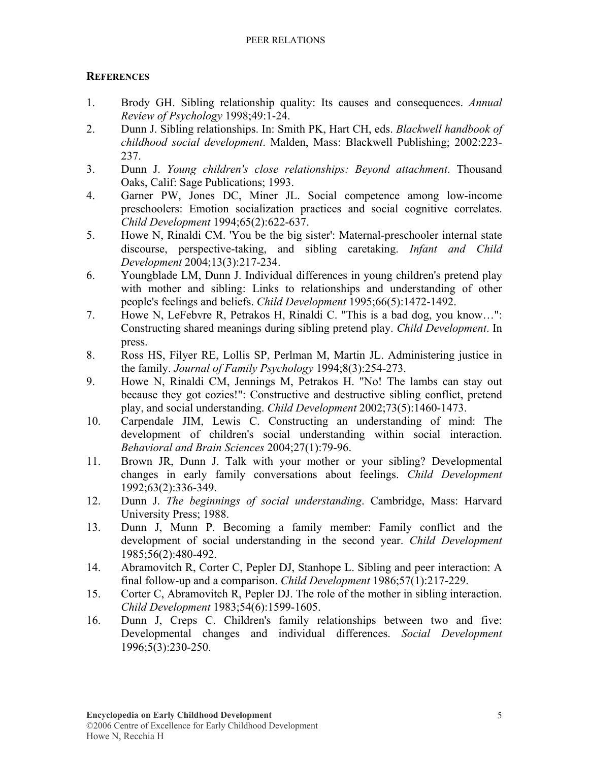## **REFERENCES**

- 1. Brody GH. Sibling relationship quality: Its causes and consequences. *Annual Review of Psychology* 1998;49:1-24.
- 2. Dunn J. Sibling relationships. In: Smith PK, Hart CH, eds. *Blackwell handbook of childhood social development*. Malden, Mass: Blackwell Publishing; 2002:223- 237.
- 3. Dunn J. *Young children's close relationships: Beyond attachment*. Thousand Oaks, Calif: Sage Publications; 1993.
- 4. Garner PW, Jones DC, Miner JL. Social competence among low-income preschoolers: Emotion socialization practices and social cognitive correlates. *Child Development* 1994;65(2):622-637.
- 5. Howe N, Rinaldi CM. 'You be the big sister': Maternal-preschooler internal state discourse, perspective-taking, and sibling caretaking. *Infant and Child Development* 2004;13(3):217-234.
- 6. Youngblade LM, Dunn J. Individual differences in young children's pretend play with mother and sibling: Links to relationships and understanding of other people's feelings and beliefs. *Child Development* 1995;66(5):1472-1492.
- 7. Howe N, LeFebvre R, Petrakos H, Rinaldi C. "This is a bad dog, you know…": Constructing shared meanings during sibling pretend play. *Child Development*. In press.
- 8. Ross HS, Filyer RE, Lollis SP, Perlman M, Martin JL. Administering justice in the family. *Journal of Family Psychology* 1994;8(3):254-273.
- 9. Howe N, Rinaldi CM, Jennings M, Petrakos H. "No! The lambs can stay out because they got cozies!": Constructive and destructive sibling conflict, pretend play, and social understanding. *Child Development* 2002;73(5):1460-1473.
- 10. Carpendale JIM, Lewis C. Constructing an understanding of mind: The development of children's social understanding within social interaction. *Behavioral and Brain Sciences* 2004;27(1):79-96.
- 11. Brown JR, Dunn J. Talk with your mother or your sibling? Developmental changes in early family conversations about feelings. *Child Development*  1992;63(2):336-349.
- 12. Dunn J. *The beginnings of social understanding*. Cambridge, Mass: Harvard University Press; 1988.
- 13. Dunn J, Munn P. Becoming a family member: Family conflict and the development of social understanding in the second year. *Child Development*  1985;56(2):480-492.
- 14. Abramovitch R, Corter C, Pepler DJ, Stanhope L. Sibling and peer interaction: A final follow-up and a comparison. *Child Development* 1986;57(1):217-229.
- 15. Corter C, Abramovitch R, Pepler DJ. The role of the mother in sibling interaction. *Child Development* 1983;54(6):1599-1605.
- 16. Dunn J, Creps C. Children's family relationships between two and five: Developmental changes and individual differences. *Social Development*  1996;5(3):230-250.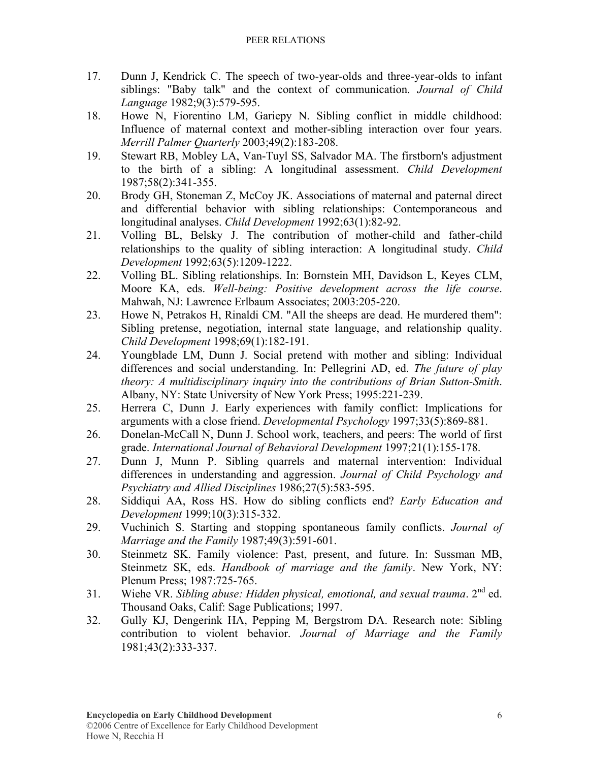- 17. Dunn J, Kendrick C. The speech of two-year-olds and three-year-olds to infant siblings: "Baby talk" and the context of communication. *Journal of Child Language* 1982;9(3):579-595.
- 18. Howe N, Fiorentino LM, Gariepy N. Sibling conflict in middle childhood: Influence of maternal context and mother-sibling interaction over four years. *Merrill Palmer Quarterly* 2003;49(2):183-208.
- 19. Stewart RB, Mobley LA, Van-Tuyl SS, Salvador MA. The firstborn's adjustment to the birth of a sibling: A longitudinal assessment. *Child Development*  1987;58(2):341-355.
- 20. Brody GH, Stoneman Z, McCoy JK. Associations of maternal and paternal direct and differential behavior with sibling relationships: Contemporaneous and longitudinal analyses. *Child Development* 1992;63(1):82-92.
- 21. Volling BL, Belsky J. The contribution of mother-child and father-child relationships to the quality of sibling interaction: A longitudinal study. *Child Development* 1992;63(5):1209-1222.
- 22. Volling BL. Sibling relationships. In: Bornstein MH, Davidson L, Keyes CLM, Moore KA, eds. *Well-being: Positive development across the life course*. Mahwah, NJ: Lawrence Erlbaum Associates; 2003:205-220.
- 23. Howe N, Petrakos H, Rinaldi CM. "All the sheeps are dead. He murdered them": Sibling pretense, negotiation, internal state language, and relationship quality. *Child Development* 1998;69(1):182-191.
- 24. Youngblade LM, Dunn J. Social pretend with mother and sibling: Individual differences and social understanding. In: Pellegrini AD, ed. *The future of play theory: A multidisciplinary inquiry into the contributions of Brian Sutton-Smith*. Albany, NY: State University of New York Press; 1995:221-239.
- 25. Herrera C, Dunn J. Early experiences with family conflict: Implications for arguments with a close friend. *Developmental Psychology* 1997;33(5):869-881.
- 26. Donelan-McCall N, Dunn J. School work, teachers, and peers: The world of first grade. *International Journal of Behavioral Development* 1997;21(1):155-178.
- 27. Dunn J, Munn P. Sibling quarrels and maternal intervention: Individual differences in understanding and aggression. *Journal of Child Psychology and Psychiatry and Allied Disciplines* 1986;27(5):583-595.
- 28. Siddiqui AA, Ross HS. How do sibling conflicts end? *Early Education and Development* 1999;10(3):315-332.
- 29. Vuchinich S. Starting and stopping spontaneous family conflicts. *Journal of Marriage and the Family* 1987;49(3):591-601.
- 30. Steinmetz SK. Family violence: Past, present, and future. In: Sussman MB, Steinmetz SK, eds. *Handbook of marriage and the family*. New York, NY: Plenum Press; 1987:725-765.
- 31. Wiehe VR. *Sibling abuse: Hidden physical, emotional, and sexual trauma*. 2nd ed. Thousand Oaks, Calif: Sage Publications; 1997.
- 32. Gully KJ, Dengerink HA, Pepping M, Bergstrom DA. Research note: Sibling contribution to violent behavior. *Journal of Marriage and the Family*  1981;43(2):333-337.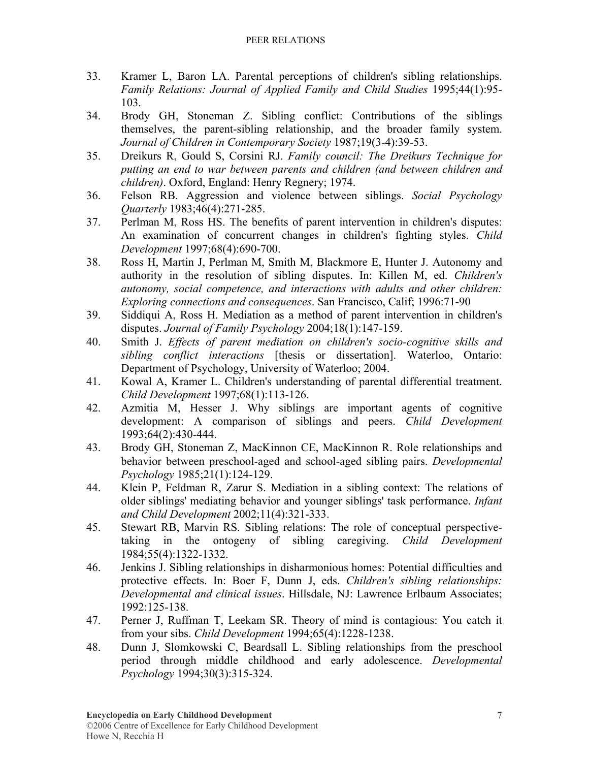- 33. Kramer L, Baron LA. Parental perceptions of children's sibling relationships. *Family Relations: Journal of Applied Family and Child Studies* 1995;44(1):95-103.
- 34. Brody GH, Stoneman Z. Sibling conflict: Contributions of the siblings themselves, the parent-sibling relationship, and the broader family system. *Journal of Children in Contemporary Society* 1987;19(3-4):39-53.
- 35. Dreikurs R, Gould S, Corsini RJ. *Family council: The Dreikurs Technique for putting an end to war between parents and children (and between children and children)*. Oxford, England: Henry Regnery; 1974.
- 36. Felson RB. Aggression and violence between siblings. *Social Psychology Quarterly* 1983;46(4):271-285.
- 37. Perlman M, Ross HS. The benefits of parent intervention in children's disputes: An examination of concurrent changes in children's fighting styles. *Child Development* 1997;68(4):690-700.
- 38. Ross H, Martin J, Perlman M, Smith M, Blackmore E, Hunter J. Autonomy and authority in the resolution of sibling disputes. In: Killen M, ed. *Children's autonomy, social competence, and interactions with adults and other children: Exploring connections and consequences*. San Francisco, Calif; 1996:71-90
- 39. Siddiqui A, Ross H. Mediation as a method of parent intervention in children's disputes. *Journal of Family Psychology* 2004;18(1):147-159.
- 40. Smith J. *Effects of parent mediation on children's socio-cognitive skills and sibling conflict interactions* [thesis or dissertation]. Waterloo, Ontario: Department of Psychology, University of Waterloo; 2004.
- 41. Kowal A, Kramer L. Children's understanding of parental differential treatment. *Child Development* 1997;68(1):113-126.
- 42. Azmitia M, Hesser J. Why siblings are important agents of cognitive development: A comparison of siblings and peers. *Child Development*  1993;64(2):430-444.
- 43. Brody GH, Stoneman Z, MacKinnon CE, MacKinnon R. Role relationships and behavior between preschool-aged and school-aged sibling pairs. *Developmental Psychology* 1985;21(1):124-129.
- 44. Klein P, Feldman R, Zarur S. Mediation in a sibling context: The relations of older siblings' mediating behavior and younger siblings' task performance. *Infant and Child Development* 2002;11(4):321-333.
- 45. Stewart RB, Marvin RS. Sibling relations: The role of conceptual perspectivetaking in the ontogeny of sibling caregiving. *Child Development*  1984;55(4):1322-1332.
- 46. Jenkins J. Sibling relationships in disharmonious homes: Potential difficulties and protective effects. In: Boer F, Dunn J, eds. *Children's sibling relationships: Developmental and clinical issues*. Hillsdale, NJ: Lawrence Erlbaum Associates; 1992:125-138.
- 47. Perner J, Ruffman T, Leekam SR. Theory of mind is contagious: You catch it from your sibs. *Child Development* 1994;65(4):1228-1238.
- 48. Dunn J, Slomkowski C, Beardsall L. Sibling relationships from the preschool period through middle childhood and early adolescence. *Developmental Psychology* 1994;30(3):315-324.